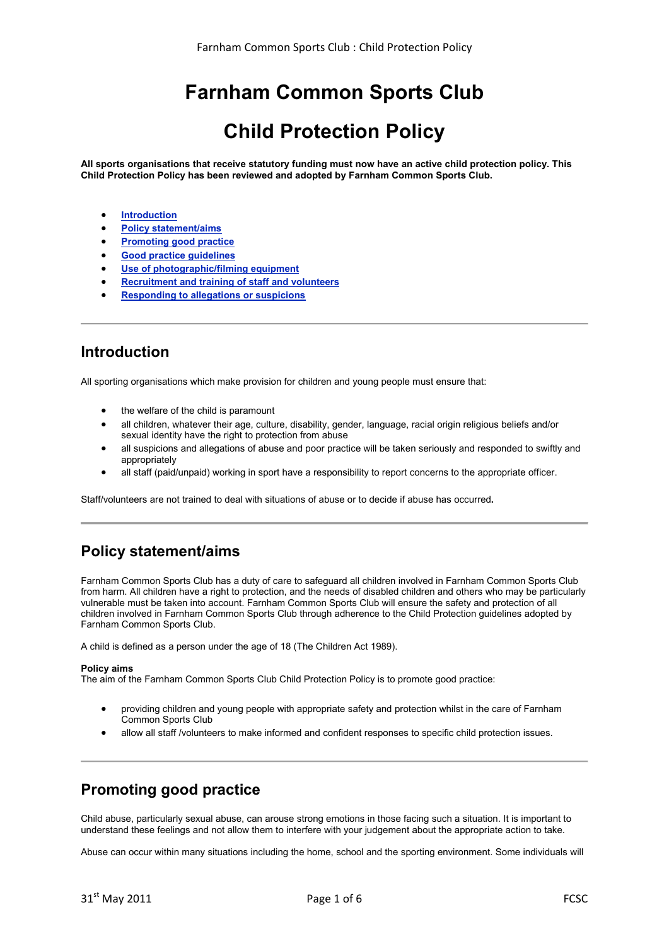# **Farnham Common Sports Club**

## **Child Protection Policy**

**All sports organisations that receive statutory funding must now have an active child protection policy. This Child Protection Policy has been reviewed and adopted by Farnham Common Sports Club.**

- **Introduction**
- **Policy statement/aims**
- **Promoting good practice**
- **Good practice guidelines**
- **Use of photographic/filming equipment**
- **Recruitment and training of staff and volunteers**
- **Responding to allegations or suspicions**

### **Introduction**

All sporting organisations which make provision for children and young people must ensure that:

- the welfare of the child is paramount
- all children, whatever their age, culture, disability, gender, language, racial origin religious beliefs and/or sexual identity have the right to protection from abuse
- all suspicions and allegations of abuse and poor practice will be taken seriously and responded to swiftly and appropriately
- all staff (paid/unpaid) working in sport have a responsibility to report concerns to the appropriate officer.

Staff/volunteers are not trained to deal with situations of abuse or to decide if abuse has occurred**.**

### **Policy statement/aims**

Farnham Common Sports Club has a duty of care to safeguard all children involved in Farnham Common Sports Club from harm. All children have a right to protection, and the needs of disabled children and others who may be particularly vulnerable must be taken into account. Farnham Common Sports Club will ensure the safety and protection of all children involved in Farnham Common Sports Club through adherence to the Child Protection guidelines adopted by Farnham Common Sports Club.

A child is defined as a person under the age of 18 (The Children Act 1989).

#### **Policy aims**

The aim of the Farnham Common Sports Club Child Protection Policy is to promote good practice:

- providing children and young people with appropriate safety and protection whilst in the care of Farnham Common Sports Club
- allow all staff /volunteers to make informed and confident responses to specific child protection issues.

### **Promoting good practice**

Child abuse, particularly sexual abuse, can arouse strong emotions in those facing such a situation. It is important to understand these feelings and not allow them to interfere with your judgement about the appropriate action to take.

Abuse can occur within many situations including the home, school and the sporting environment. Some individuals will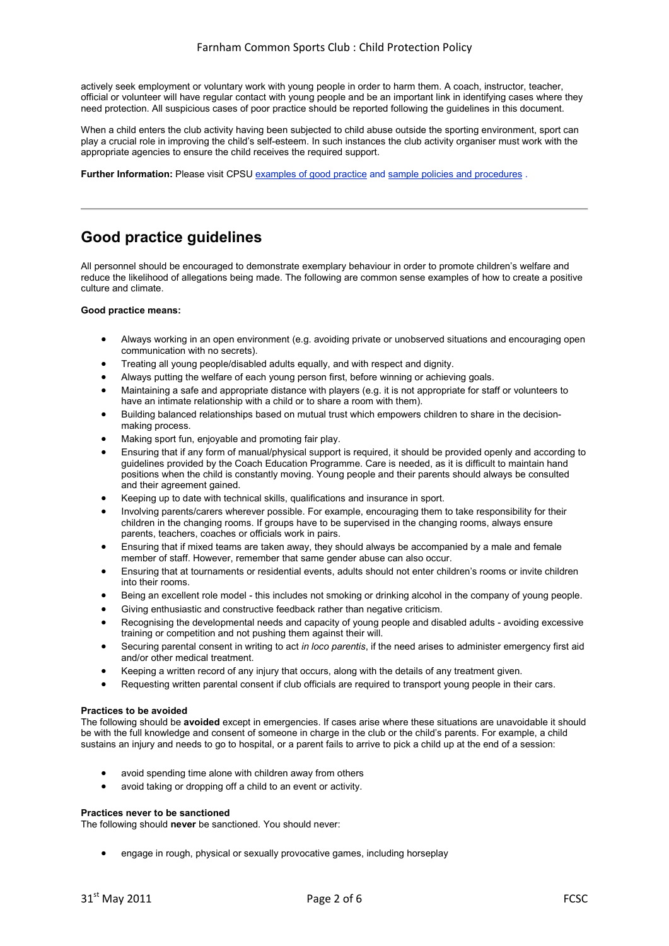actively seek employment or voluntary work with young people in order to harm them. A coach, instructor, teacher, official or volunteer will have regular contact with young people and be an important link in identifying cases where they need protection. All suspicious cases of poor practice should be reported following the guidelines in this document.

When a child enters the club activity having been subjected to child abuse outside the sporting environment, sport can play a crucial role in improving the child's self-esteem. In such instances the club activity organiser must work with the appropriate agencies to ensure the child receives the required support.

**Further Information:** Please visit CPSU examples of good practice and sample policies and procedures .

### **Good practice guidelines**

All personnel should be encouraged to demonstrate exemplary behaviour in order to promote children's welfare and reduce the likelihood of allegations being made. The following are common sense examples of how to create a positive culture and climate.

#### **Good practice means:**

- Always working in an open environment (e.g. avoiding private or unobserved situations and encouraging open communication with no secrets).
- Treating all young people/disabled adults equally, and with respect and dignity.
- Always putting the welfare of each young person first, before winning or achieving goals.
- Maintaining a safe and appropriate distance with players (e.g. it is not appropriate for staff or volunteers to have an intimate relationship with a child or to share a room with them).
- Building balanced relationships based on mutual trust which empowers children to share in the decisionmaking process.
- Making sport fun, enjoyable and promoting fair play.
- Ensuring that if any form of manual/physical support is required, it should be provided openly and according to guidelines provided by the Coach Education Programme. Care is needed, as it is difficult to maintain hand positions when the child is constantly moving. Young people and their parents should always be consulted and their agreement gained.
- Keeping up to date with technical skills, qualifications and insurance in sport.
- Involving parents/carers wherever possible. For example, encouraging them to take responsibility for their children in the changing rooms. If groups have to be supervised in the changing rooms, always ensure parents, teachers, coaches or officials work in pairs.
- Ensuring that if mixed teams are taken away, they should always be accompanied by a male and female member of staff. However, remember that same gender abuse can also occur.
- Ensuring that at tournaments or residential events, adults should not enter children's rooms or invite children into their rooms.
- Being an excellent role model this includes not smoking or drinking alcohol in the company of young people.
- Giving enthusiastic and constructive feedback rather than negative criticism.
- Recoanising the developmental needs and capacity of young people and disabled adults avoiding excessive training or competition and not pushing them against their will.
- Securing parental consent in writing to act *in loco parentis*, if the need arises to administer emergency first aid and/or other medical treatment.
- Keeping a written record of any injury that occurs, along with the details of any treatment given.
- Requesting written parental consent if club officials are required to transport young people in their cars.

#### **Practices to be avoided**

The following should be **avoided** except in emergencies. If cases arise where these situations are unavoidable it should be with the full knowledge and consent of someone in charge in the club or the child's parents. For example, a child sustains an injury and needs to go to hospital, or a parent fails to arrive to pick a child up at the end of a session:

- avoid spending time alone with children away from others
- avoid taking or dropping off a child to an event or activity.

#### **Practices never to be sanctioned**

The following should **never** be sanctioned. You should never:

• engage in rough, physical or sexually provocative games, including horseplay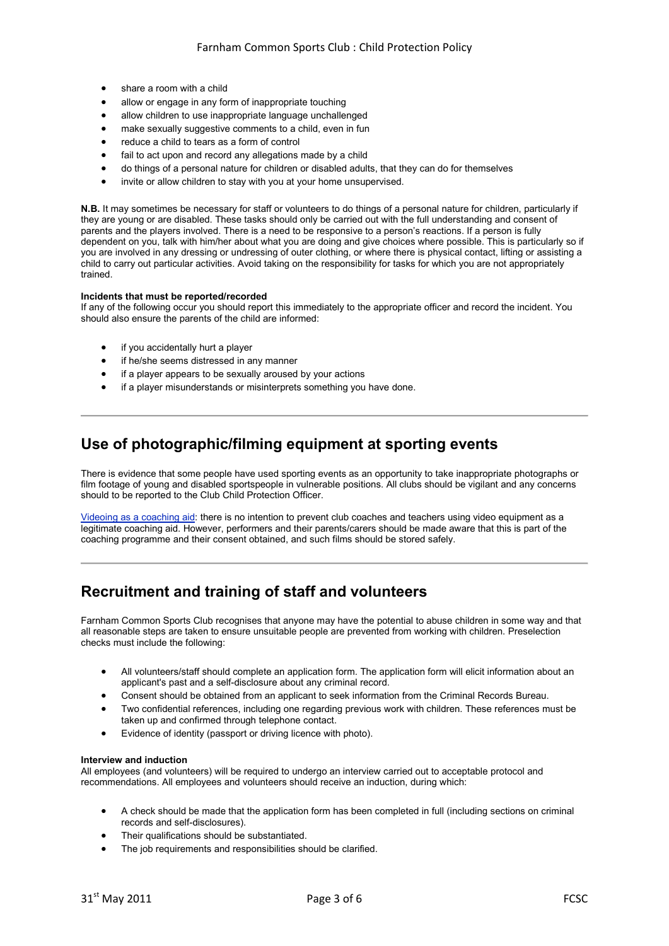- share a room with a child
- allow or engage in any form of inappropriate touching
- allow children to use inappropriate language unchallenged
- make sexually suggestive comments to a child, even in fun
- reduce a child to tears as a form of control
- fail to act upon and record any allegations made by a child
- do things of a personal nature for children or disabled adults, that they can do for themselves
- invite or allow children to stay with you at your home unsupervised.

**N.B.** It may sometimes be necessary for staff or volunteers to do things of a personal nature for children, particularly if they are young or are disabled. These tasks should only be carried out with the full understanding and consent of parents and the players involved. There is a need to be responsive to a person's reactions. If a person is fully dependent on you, talk with him/her about what you are doing and give choices where possible. This is particularly so if you are involved in any dressing or undressing of outer clothing, or where there is physical contact, lifting or assisting a child to carry out particular activities. Avoid taking on the responsibility for tasks for which you are not appropriately trained.

#### **Incidents that must be reported/recorded**

If any of the following occur you should report this immediately to the appropriate officer and record the incident. You should also ensure the parents of the child are informed:

- if you accidentally hurt a player
- if he/she seems distressed in any manner
- if a player appears to be sexually aroused by your actions
- if a player misunderstands or misinterprets something you have done.

### **Use of photographic/filming equipment at sporting events**

There is evidence that some people have used sporting events as an opportunity to take inappropriate photographs or film footage of young and disabled sportspeople in vulnerable positions. All clubs should be vigilant and any concerns should to be reported to the Club Child Protection Officer.

Videoing as a coaching aid: there is no intention to prevent club coaches and teachers using video equipment as a legitimate coaching aid. However, performers and their parents/carers should be made aware that this is part of the coaching programme and their consent obtained, and such films should be stored safely.

### **Recruitment and training of staff and volunteers**

Farnham Common Sports Club recognises that anyone may have the potential to abuse children in some way and that all reasonable steps are taken to ensure unsuitable people are prevented from working with children. Preselection checks must include the following:

- All volunteers/staff should complete an application form. The application form will elicit information about an applicant's past and a self-disclosure about any criminal record.
- Consent should be obtained from an applicant to seek information from the Criminal Records Bureau.
- Two confidential references, including one regarding previous work with children. These references must be taken up and confirmed through telephone contact.
- Evidence of identity (passport or driving licence with photo).

#### **Interview and induction**

All employees (and volunteers) will be required to undergo an interview carried out to acceptable protocol and recommendations. All employees and volunteers should receive an induction, during which:

- A check should be made that the application form has been completed in full (including sections on criminal records and self-disclosures).
- Their qualifications should be substantiated.
- The job requirements and responsibilities should be clarified.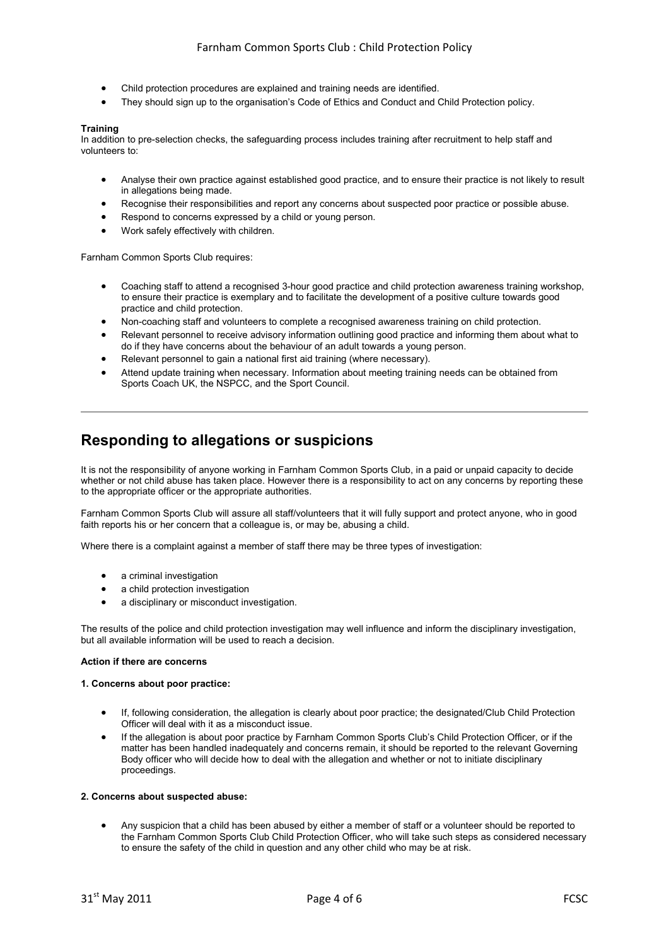- Child protection procedures are explained and training needs are identified.
- They should sign up to the organisation's Code of Ethics and Conduct and Child Protection policy.

#### **Training**

In addition to pre-selection checks, the safeguarding process includes training after recruitment to help staff and volunteers to:

- Analyse their own practice against established good practice, and to ensure their practice is not likely to result in allegations being made.
- Recognise their responsibilities and report any concerns about suspected poor practice or possible abuse.
- Respond to concerns expressed by a child or young person.
- Work safely effectively with children.

Farnham Common Sports Club requires:

- Coaching staff to attend a recognised 3-hour good practice and child protection awareness training workshop, to ensure their practice is exemplary and to facilitate the development of a positive culture towards good practice and child protection.
- Non-coaching staff and volunteers to complete a recognised awareness training on child protection.
- Relevant personnel to receive advisory information outlining good practice and informing them about what to do if they have concerns about the behaviour of an adult towards a young person.
- Relevant personnel to gain a national first aid training (where necessary).
- Attend update training when necessary. Information about meeting training needs can be obtained from Sports Coach UK, the NSPCC, and the Sport Council.

### **Responding to allegations or suspicions**

It is not the responsibility of anyone working in Farnham Common Sports Club, in a paid or unpaid capacity to decide whether or not child abuse has taken place. However there is a responsibility to act on any concerns by reporting these to the appropriate officer or the appropriate authorities.

Farnham Common Sports Club will assure all staff/volunteers that it will fully support and protect anyone, who in good faith reports his or her concern that a colleague is, or may be, abusing a child.

Where there is a complaint against a member of staff there may be three types of investigation:

- a criminal investigation
- a child protection investigation
- a disciplinary or misconduct investigation.

The results of the police and child protection investigation may well influence and inform the disciplinary investigation, but all available information will be used to reach a decision.

#### **Action if there are concerns**

#### **1. Concerns about poor practice:**

- If, following consideration, the allegation is clearly about poor practice; the designated/Club Child Protection Officer will deal with it as a misconduct issue.
- If the allegation is about poor practice by Farnham Common Sports Club's Child Protection Officer, or if the matter has been handled inadequately and concerns remain, it should be reported to the relevant Governing Body officer who will decide how to deal with the allegation and whether or not to initiate disciplinary proceedings.

#### **2. Concerns about suspected abuse:**

• Any suspicion that a child has been abused by either a member of staff or a volunteer should be reported to the Farnham Common Sports Club Child Protection Officer, who will take such steps as considered necessary to ensure the safety of the child in question and any other child who may be at risk.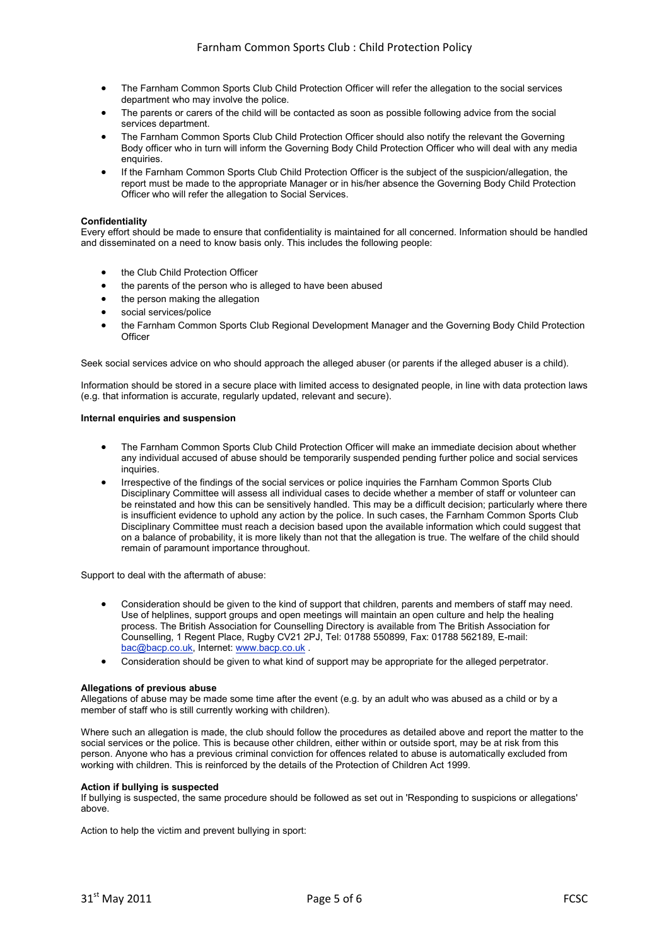- The Farnham Common Sports Club Child Protection Officer will refer the allegation to the social services department who may involve the police.
- The parents or carers of the child will be contacted as soon as possible following advice from the social services department.
- The Farnham Common Sports Club Child Protection Officer should also notify the relevant the Governing Body officer who in turn will inform the Governing Body Child Protection Officer who will deal with any media enquiries.
- If the Farnham Common Sports Club Child Protection Officer is the subject of the suspicion/allegation, the report must be made to the appropriate Manager or in his/her absence the Governing Body Child Protection Officer who will refer the allegation to Social Services.

#### **Confidentiality**

Every effort should be made to ensure that confidentiality is maintained for all concerned. Information should be handled and disseminated on a need to know basis only. This includes the following people:

- the Club Child Protection Officer
- the parents of the person who is alleged to have been abused
- the person making the allegation
- social services/police
- the Farnham Common Sports Club Regional Development Manager and the Governing Body Child Protection **Officer**

Seek social services advice on who should approach the alleged abuser (or parents if the alleged abuser is a child).

Information should be stored in a secure place with limited access to designated people, in line with data protection laws (e.g. that information is accurate, regularly updated, relevant and secure).

#### **Internal enquiries and suspension**

- The Farnham Common Sports Club Child Protection Officer will make an immediate decision about whether any individual accused of abuse should be temporarily suspended pending further police and social services inquiries.
- Irrespective of the findings of the social services or police inquiries the Farnham Common Sports Club Disciplinary Committee will assess all individual cases to decide whether a member of staff or volunteer can be reinstated and how this can be sensitively handled. This may be a difficult decision; particularly where there is insufficient evidence to uphold any action by the police. In such cases, the Farnham Common Sports Club Disciplinary Committee must reach a decision based upon the available information which could suggest that on a balance of probability, it is more likely than not that the allegation is true. The welfare of the child should remain of paramount importance throughout.

Support to deal with the aftermath of abuse:

- Consideration should be given to the kind of support that children, parents and members of staff may need. Use of helplines, support groups and open meetings will maintain an open culture and help the healing process. The British Association for Counselling Directory is available from The British Association for Counselling, 1 Regent Place, Rugby CV21 2PJ, Tel: 01788 550899, Fax: 01788 562189, E-mail: bac@bacp.co.uk, Internet: www.bacp.co.uk .
- Consideration should be given to what kind of support may be appropriate for the alleged perpetrator.

#### **Allegations of previous abuse**

Allegations of abuse may be made some time after the event (e.g. by an adult who was abused as a child or by a member of staff who is still currently working with children).

Where such an allegation is made, the club should follow the procedures as detailed above and report the matter to the social services or the police. This is because other children, either within or outside sport, may be at risk from this person. Anyone who has a previous criminal conviction for offences related to abuse is automatically excluded from working with children. This is reinforced by the details of the Protection of Children Act 1999.

#### **Action if bullying is suspected**

If bullying is suspected, the same procedure should be followed as set out in 'Responding to suspicions or allegations' above.

Action to help the victim and prevent bullying in sport: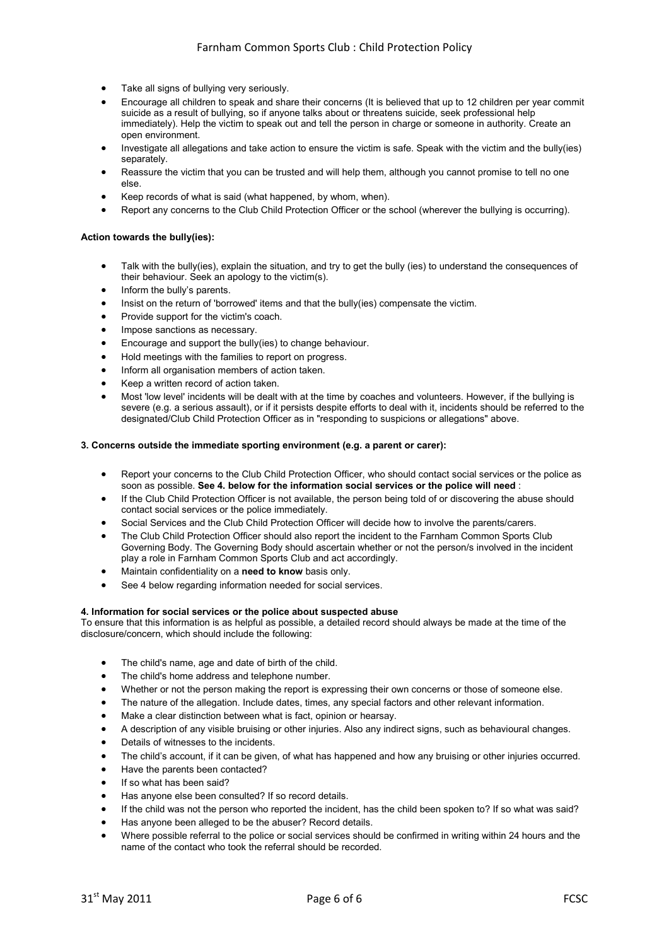- Take all signs of bullying very seriously.
- Encourage all children to speak and share their concerns (It is believed that up to 12 children per year commit suicide as a result of bullying, so if anyone talks about or threatens suicide, seek professional help immediately). Help the victim to speak out and tell the person in charge or someone in authority. Create an open environment.
- Investigate all allegations and take action to ensure the victim is safe. Speak with the victim and the bully(ies) separately.
- Reassure the victim that you can be trusted and will help them, although you cannot promise to tell no one else.
- Keep records of what is said (what happened, by whom, when).
- Report any concerns to the Club Child Protection Officer or the school (wherever the bullying is occurring).

#### **Action towards the bully(ies):**

- Talk with the bully(ies), explain the situation, and try to get the bully (ies) to understand the consequences of their behaviour. Seek an apology to the victim(s).
- Inform the bully's parents.
- Insist on the return of 'borrowed' items and that the bully(ies) compensate the victim.
- Provide support for the victim's coach.
- Impose sanctions as necessary.
- Encourage and support the bully(ies) to change behaviour.
- Hold meetings with the families to report on progress.
- Inform all organisation members of action taken.
- Keep a written record of action taken.
- Most 'low level' incidents will be dealt with at the time by coaches and volunteers. However, if the bullying is severe (e.g. a serious assault), or if it persists despite efforts to deal with it, incidents should be referred to the designated/Club Child Protection Officer as in "responding to suspicions or allegations" above.

#### **3. Concerns outside the immediate sporting environment (e.g. a parent or carer):**

- Report your concerns to the Club Child Protection Officer, who should contact social services or the police as soon as possible. **See 4. below for the information social services or the police will need** :
- If the Club Child Protection Officer is not available, the person being told of or discovering the abuse should contact social services or the police immediately.
- Social Services and the Club Child Protection Officer will decide how to involve the parents/carers.
- The Club Child Protection Officer should also report the incident to the Farnham Common Sports Club Governing Body. The Governing Body should ascertain whether or not the person/s involved in the incident play a role in Farnham Common Sports Club and act accordingly.
- Maintain confidentiality on a **need to know** basis only.
- See 4 below regarding information needed for social services.

#### **4. Information for social services or the police about suspected abuse**

To ensure that this information is as helpful as possible, a detailed record should always be made at the time of the disclosure/concern, which should include the following:

- The child's name, age and date of birth of the child.
- The child's home address and telephone number.
- Whether or not the person making the report is expressing their own concerns or those of someone else.
- The nature of the allegation. Include dates, times, any special factors and other relevant information.
- Make a clear distinction between what is fact, opinion or hearsay.
- A description of any visible bruising or other injuries. Also any indirect signs, such as behavioural changes.
- Details of witnesses to the incidents.
- The child's account, if it can be given, of what has happened and how any bruising or other injuries occurred.
- Have the parents been contacted?
- If so what has been said?
- Has anyone else been consulted? If so record details.
- If the child was not the person who reported the incident, has the child been spoken to? If so what was said?
- Has anyone been alleged to be the abuser? Record details.
- Where possible referral to the police or social services should be confirmed in writing within 24 hours and the name of the contact who took the referral should be recorded.